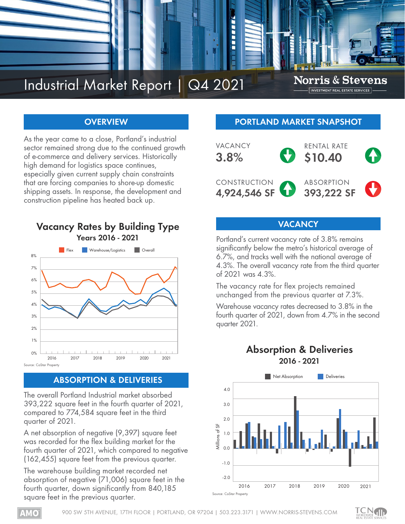

# **OVERVIEW**

As the year came to a close, Portland's industrial sector remained strong due to the continued growth of e-commerce and delivery services. Historically high demand for logistics space continues, especially given current supply chain constraints that are forcing companies to shore-up domestic shipping assets. In response, the development and construction pipeline has heated back up.



# **ABSORPTION & DELIVERIES**

The overall Portland Industrial market absorbed 393,222 square feet in the fourth quarter of 2021, compared to 774,584 square feet in the third quarter of 2021.

A net absorption of negative (9,397) square feet was recorded for the flex building market for the fourth quarter of 2021, which compared to negative (162,455) square feet from the previous quarter.

The warehouse building market recorded net absorption of negative (71,006) square feet in the fourth quarter, down significantly from 840,185 square feet in the previous quarter.

## **PORTLAND MARKET SNAPSHOT**



## **VACANCY**

Portland's current vacancy rate of 3.8% remains significantly below the metro's historical average of 6.7%, and tracks well with the national average of 4.3%. The overall vacancy rate from the third quarter of 2021 was 4.3%.

The vacancy rate for flex projects remained unchanged from the previous quarter at 7.3%.

Warehouse vacancy rates decreased to 3.8% in the fourth quarter of 2021, down from 4.7% in the second quarter 2021.

# **Absorption & Deliveries 2016 - 2021**